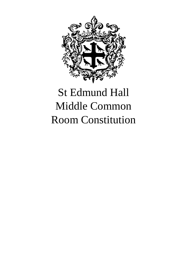

# St Edmund Hall Middle Common Room Constitution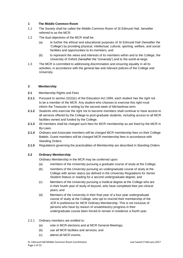# **1 The Middle Common Room**

- 1.1 The Society shall be called the Middle Common Room of St Edmund Hall, hereafter referred to as the MCR.
- 1.2 The dual objectives of the MCR shall be:
	- (a) to further the ethical and educational purposes of St Edmund Hall (hereafter the 'College') by providing physical, intellectual, cultural, sporting, welfare, and social facilities and opportunities to its members, and
	- (b) to represent the views and interests of its members within and to the College, the University of Oxford (hereafter the 'University') and to the world-at-large.
- 1.3 The MCR is committed to addressing discrimination and ensuring equality in all its activities, in accordance with the general law and relevant policies of the College and University.

# **2 Membership**

# **2.1** Membership Rights and Fees

- **2.1.1** Pursuant to section 22(2)(c) of the Education Act 1994, each student has the right not to be a member of the MCR. Any student who chooses to exercise this right must inform the Treasurer in writing by the second week of Michaelmas term.
- **2.1.2** Students who exercise the right not to become members shall continue to have access to all services offered by the College to post-graduate students, including access to all MCR facilities owned and funded by the College.
- **2.1.3** All members shall be charged such fees for MCR membership as are fixed by the MCR in By-Laws.
- **2.1.4** Ordinary and Associate members will be charged MCR membership fees on their College Battels. Guest members will be charged MCR membership fees in accordance with Standing Orders.
- **2.1.5** Regulations governing the practicalities of Membership are described in Standing Orders.

# **2.2 Ordinary Membership**

Ordinary Membership in the MCR may be conferred upon:

- (a) members of the University pursuing a graduate course of study at the College;
- (b) members of the University pursuing an undergraduate course of study at the College with senior status (as defined in the University Regulations for Senior Student Status) or reading for a second undergraduate degree; and
- (c) Members of the University pursuing a medical degree at the College who are in their fourth year of study of beyond, who have completed their pre-clinical years; and
- (d) Members of the University in their final year of a four-year undergraduate course of study at the College, who opt to rescind their membership of the JCR in preference for MCR Ordinary Membership. This is not inclusive of persons who have by reason of unsatisfactory progress in their undergraduate course been forced to remain in residence a fourth year.

# 2.2.1 Ordinary members are entitled to:

- (a) vote in MCR elections and at MCR General Meetings;
- (b) use all MCR facilities and services; and
- (c) attend all MCR events.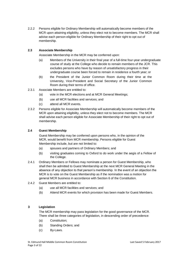2.2.2 Persons eligible for Ordinary Membership will automatically become members of the MCR upon attaining eligibility, unless they elect not to become members. The MCR shall advise each person eligible for Ordinary Membership of their right to opt out of membership.

# **2.3 Associate Membership**

Associate Membership in the MCR may be conferred upon:

- (a) Members of the University in their final year of a full-time four-year undergraduate course of study at the College who decide to remain members of the JCR. This excludes persons who have by reason of unsatisfactory progress in their undergraduate course been forced to remain in residence a fourth year; or
- (b) the President of the Junior Common Room during their time at the University, Vice-President and Social Secretary of the Junior Common Room during their terms of office.
- 2.3.1 Associate Members are entitled to:
	- (a) vote in the MCR elections and at MCR General Meetings;
	- (b) use all MCR facilities and services; and
	- (c) attend all MCR events.
- 2.3.2 Persons eligible for Associate Membership will automatically become members of the MCR upon attaining eligibility, unless they elect not to become members. The MCR shall advise each person eligible for Associate Membership of their right to opt out of membership.

#### **2.4 Guest Membership**

Guest Membership may be conferred upon persons who, in the opinion of the MCR, would benefit from MCR membership. Persons eligible for Guest Membership include, but are not limited to:

- (a) spouses and partners of Ordinary Members; and
- (b) visiting graduates coming to Oxford to do work under the aegis of a Fellow of the College.
- 2.4.1 Ordinary Members or Fellows may nominate a person for Guest Membership, who shall then be admitted to Guest Membership at the next MCR General Meeting in the absence of any objection to that person's membership. In the event of an objection the MCR is to vote on the Guest Membership as if the nomination was a motion for general MCR business in accordance with Section 6 of the Constitution.
- 2.4.2 Guest Members are entitled to:
	- (a) use all MCR facilities and services; and
	- (b) Attend MCR events for which provision has been made for Guest Members.

# **3 Legislation**

The MCR membership may pass legislation for the good governance of the MCR. There shall be three categories of legislation, in descending order of precedence:

- (a) Constitution;
- (b) Standing Orders; and
- (c) By-Laws.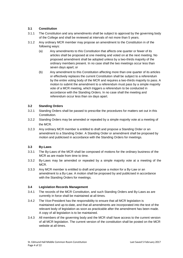# **3.1 Constitution**

- 3.1.1 The Constitution and any amendments shall be subject to approval by the governing body of the College and shall be reviewed at intervals of not more than 5 years.
- 3.1.2 Any ordinary MCR member may propose an amendment to the Constitution in of the following ways:
	- (a) Any amendments to this Constitution that affects one quarter or fewer of its articles shall be proposed at one meeting and voted on at the next meeting. No proposed amendment shall be adopted unless by a two-thirds majority of the ordinary members present. In no case shall the two meetings occur less than seven days apart; or
	- (b) Any amendment to this Constitution affecting more than one quarter of its articles or effectively replaces the current Constitution shall be subject to a referendum by the entire voting body of the MCR and requires a two-thirds majority to pass. A motion to submit the amendment to a referendum must pass by a simple majority vote of a MCR meeting, which triggers a referendum to be conducted in accordance with the Standing Orders. In no case shall the meeting and referendum occur less than six days apart.

# **3.2 Standing Orders**

- 3.2.1 Standing Orders shall be passed to prescribe the procedures for matters set out in this Constitution.
- 3.2.2 Standing Orders may be amended or repealed by a simple majority vote at a meeting of the MCR.
- 3.2.3 Any ordinary MCR member is entitled to draft and propose a Standing Order or an amendment to a Standing Order. A Standing Order or amendment shall be proposed by motion and publicised in accordance with the Standing Orders for meetings.

# **3.3 By-Laws**

- 3.3.1 The By-Laws of the MCR shall be composed of motions for the ordinary business of the MCR as are made from time to time.
- 3.3.2 By-Laws may be amended or repealed by a simple majority vote at a meeting of the MCR.
- 3.3.3 Any MCR member is entitled to draft and propose a motion for a By-Law or an amendment to a By-Law. A motion shall be proposed by and publicised in accordance with the Standing Orders for meetings.

# **3.4 Legislation Records Management**

- 3.4.1 The records of the MCR Constitution, and such Standing Orders and By-Laws as are currently in force shall be maintained at all times.
- 3.4.2 The Vice-President has the responsibility to ensure that all MCR legislation is maintained and up-to-date, and that all amendments are incorporated into the text of the relevant body of legislation as soon as practicable after the amendment has been made. A copy of all legislation is to be maintained.
- 3.4.3 All members of the governing body and the MCR shall have access to the current version of all MCR legislation. The current version of the constitution shall be posted on the MCR website at all times.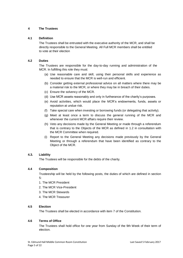#### **4 The Trustees**

#### **4.1 Definition**

The Trustees shall be entrusted with the executive authority of the MCR, and shall be directly responsible to the General Meeting. All Full MCR members shall be entitled to vote at their election

# **4.2 Duties**

The Trustees are responsible for the day-to-day running and administration of the MCR. In fulfilling this role they must:

- (a) Use reasonable care and skill, using their personal skills and experience as needed to ensure that the MCR is well-run and efficient.
- (b) Consider getting external professional advice on all matters where there may be a material risk to the MCR, or where they may be in breach of their duties.
- (c) Ensure the solvency of the MCR.
- (d) Use MCR assets reasonably and only in furtherance of the charity's purposes.
- (e) Avoid activities, which would place the MCR's endowments, funds, assets or reputation at undue risk.
- (f) Take special care when investing or borrowing funds (or delegating that activity).
- (g) Meet at least once a term to discuss the general running of the MCR and whenever the current MCR affairs require their review.
- (h) Veto any decisions made by the General Meeting or made through a referendum that is contrary to the Objects of the MCR as defined in 1.2 in consultation with the MCR Committee when required.
- (i) Report to the General Meeting any decisions made previously by the General Meeting or through a referendum that have been identified as contrary to the Object of the MCR.

# **4.3. Liability**

The Trustees will be responsible for the debts of the charity.

# **4.4 Composition**

Trusteeship will be held by the following posts, the duties of which are defined in section 5:

- 1. The MCR President
- 2. The MCR Vice-President
- 3. The MCR Stewards
- 4. The MCR Treasurer

#### **4.5 Election**

The Trustees shall be elected in accordance with item 7 of the Constitution.

#### **4.6 Terms of Office**

The Trustees shall hold office for one year from Sunday of the 9th Week of their term of election.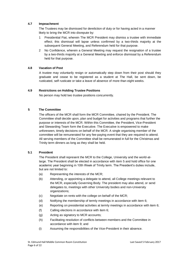## **4.7 Impeachment**

The Trustees may be dismissed for dereliction of duty or for having acted in a manner likely to bring the MCR into disrepute by:

- 1 Presidential Fiat, wherein The MCR President may dismiss a trustee with immediate effect; this dismissal will lapse unless confirmed by a two-thirds majority at the subsequent General Meeting, and Referendum held for that purpose.
- 2 No Confidence, wherein a General Meeting may request the resignation of a trustee by a two-thirds majority at a General Meeting and enforce dismissal by a Referendum held for that purpose.

#### **4.8 Vacation of Post**

A trustee may voluntarily resign or automatically step down from their post should they graduate and cease to be registered as a student at The Hall, be sent down, be rusticated, self rusticate or take a leave of absence of more than eight weeks.

#### **4.9 Restrictions on Holding Trustee Positions**

No person may hold two trustee positions concurrently.

#### **5 The Committee**

The officers of the MCR shall form the MCR Committee, chaired by the President. The Committee shall decide upon, plan and budget for activities and programs that further the purpose or interests of the MCR. Within this Committee, the President, Vice-President and Stewarding Team form the Executive. The Executive is empowered to make unforeseen, timely decisions on behalf of the MCR. A single organising member of the committee will be remunerated for any fee-paying event that they are required to attend. All serving members of the Committee shall be remunerated in full for the Christmas and Trinity term dinners as long as they shall be held.

#### **5.1 President**

The President shall represent the MCR to the College, University and the world-atlarge. The President shall be elected in accordance with item 5 and hold office for one academic year beginning in 10th Week of Trinity term. The President's duties include, but are not limited to:

- (a) Representing the interests of the MCR;
- (b) Attending, or appointing a delegate to attend, all College meetings relevant to the MCR, especially Governing Body. The president may also attend, or send delegates to, meetings with other University bodies and non-University organizations;
- (c) Negotiate on rents with the college on behalf of the MCR;
- (d) Notifying the membership of termly meetings in accordance with item 6;
- (e) Reporting on presidential activities at termly meetings in accordance with item 6;
- (f) Calling elections in accordance with item 6;
- (g) Acting as signatory to MCR accounts;
- (h) Facilitating resolution of conflicts between members and the Committee in accordance with item 9; and
- (i) Assuming the responsibilities of the Vice-President in their absence.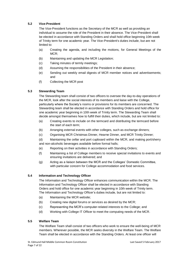# **5.2 Vice-President**

The Vice-President functions as the Secretary of the MCR as well as providing an individual to assume the role of the President in their absence. The Vice-President shall be elected in accordance with Standing Orders and shall hold office beginning 10th week of Trinity term for one academic year. The Vice-President's duties include, but are not limited to:

- (a) Creating the agenda, and including the motions, for General Meetings of the MCR;
- (b) Maintaining and updating the MCR Legislation;
- (c) Taking minutes of termly meetings;
- (d) Assuming the responsibilities of the President in their absence;
- (e) Sending out weekly email digests of MCR member notices and advertisements; and
- (f) Collecting the MCR post

# **5.3 Stewarding Team**

The Stewarding team shall consist of two officers to oversee the day-to-day operations of the MCR, look after the social interests of its members and liaise with the College, particularly where the Society's rooms or provisions for its members are concerned. The Stewarding team shall be elected in accordance with Standing Orders and hold office for one academic year beginning in 10th week of Trinity term. The Stewarding Team shall decide amongst themselves how to fulfill their duties, which include, but are not limited to:

- (a) Creating events to include on the termcard and distributing the termcard before the start of each term;
- (b) Arranging external events with other colleges, such as exchange dinners;
- (c) Organising MCR Christmas Dinner, Hearne Dinner, and MCR Trinity Dinner;

(d) Maintaining the cellar and port cupboard within the MCR, and making port/sherry and non-alcoholic beverages available before formal halls;

- (e) Reporting on their activities in accordance with Standing Orders;
- (f) Maintaining a list of College members to receive special invitations to events and ensuring invitations are delivered; and
- (g) Acting as a liaison between the MCR and the Colleges' Domestic Committee, with particular concern for College accommodation and food services.

# **5.4 Information and Technology Officer**

The Information and Technology Officer enhances communication within the MCR. The Information and Technology Officer shall be elected in accordance with Standing Orders and hold office for one academic year beginning in 10th week of Trinity term. The Information and Technology Officer's duties include, but are not limited to:

- (a) Maintaining the MCR website;
- (b) Creating new digital forums or services as desired by the MCR;
- (c) Representing the MCR's computer-related interests to the College; and
- (d) Working with College IT Officer to meet the computing needs of the MCR.

#### **5.5 Welfare Team**

The Welfare Team shall consist of two officers who work to ensure the well-being of MCR members. Wherever possible, the MCR seeks diversity in the Welfare Team. The Welfare Team shall be elected in accordance with the Standing Orders. At least one officer will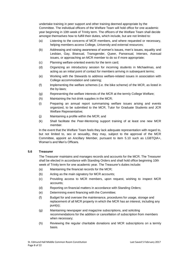undertake training in peer support and other training deemed appropriate by the Committee. The individual officers of the Welfare Team will hold office for one academic year beginning in 10th week of Trinity term. The officers of the Welfare Team shall decide amongst themselves how to fulfill their duties, which include, but are not limited to:

- (a) Listening to the concerns of MCR members, and where requested or necessary, helping members access College, University and external resources;
- (b) Addressing and raising awareness of women's issues, men's issues, equality and Lesbian, Gay, Bisexual, Transgender, Queer, Pansexual, Intersex, Asexual issues, or approaching an MCR member to do so if more appropriate;
- (c) Planning welfare-oriented events for the term card;
- (d) Organizing an introductory session for incoming students in Michaelmas, and acting as an initial point of contact for members arriving in subsequent terms;
- (e) Working with the Stewards to address welfare-related issues in association with College accommodation and catering;
- (f) Implementing the welfare schemes (i.e. the bike scheme) of the MCR, as listed in the by-laws;
- (g) Representing the welfare interests of the MCR at the termly College Welfare;
- (h) Maintaining the hot drink supplies in the MCR;
- (i) Preparing an annual report summarising welfare issues arising and events organized, to be submitted to the MCR, Tutor for Graduate Students and JCR Welfare Representative;
- (j) Maintaining a profile within the MCR; and
- (k) Shall facilitate the Peer-Mentoring support training of at least one new MCR member.

In the event that the Welfare Team feels they lack adequate representation with regard to, but not limited to, sex or sexuality, they may, subject to the approval of the MCR Committee, appoint an Ancillary Member, pursuant to item 5.10 such as LGBTQIA+, Women's and Men's Officers.

#### **5.6 Treasurer**

The Treasurer maintains and manages records and accounts for the MCR. The Treasurer shall be elected in accordance with Standing Orders and shall hold office beginning 10th week of Trinity term for one academic year. The Treasurer's duties include:

- (a) Maintaining the financial records for the MCR;
- (b) Acting as the main signatory for MCR accounts;
- (c) Providing access to MCR members, upon request, wishing to inspect MCR accounts;
- (d) Reporting on financial matters in accordance with Standing Orders;
- (e) Determining event financing with the Committee;
- (f) Budget for and oversee the maintenance, procedures for usage, storage and replacement of all MCR property in which the MCR has an interest, including any punt(s);
- (g) Maintaining newspaper and magazine subscriptions, and soliciting recommendations for the addition or cancellation of subscription from members when necessary;
- (h) Reviewing the regular charitable donations and MCR subscriptions on a termly basis.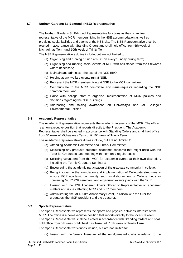#### **5.7 Norham Gardens St. Edmund (NSE) Representative**

The Norham Gardens St. Edmund Representative functions as the committee representative of the MCR members living in the NSE accommodation as well as providing social facilities and events at the NSE site. The NSE Representative shall be elected in accordance with Standing Orders and shall hold office from 5th week of Michaelmas Term until 10th week of Trinity Term.

The NSE Representative's duties include, but are not limited to:

- (a) Organising and running brunch at NSE on every Sunday during term;
- (b) Organising and running social events at NSE with assistance from the Stewards where necessary;
- (c) Maintain and administer the use of the NSE BBQ;
- (d) Helping at any welfare events run at NSE;
- (e) Represent the MCR members living at NSE to the MCR committee;
- (f) Communicate to the MCR committee any issue/requests regarding the NSE common room; and
- (g) Liaise with college staff to organise implementation of MCR policies and decisions regarding the NSE buildings.
- (h) Addressing and raising awareness on University's and /or College's Environmental Policies

#### **5.8 Academic Representative**

The Academic Representative represents the academic interests of the MCR. The office is a non-executive position that reports directly to the President. The Academic Representative shall be elected in accordance with Standing Orders and shall hold office from 5<sup>th</sup> week of Michaelmas Term until 10<sup>th</sup> week of Trinity Term.

The Academic Representative's duties include, but are not limited to:

- (a) Attending Academic Committee and Library Committee;
- (b) Discussing any graduate students' academic concerns that might arise with the Tutor for Graduates, and meeting with them on a regular basis;
- (c) Soliciting volunteers from the MCR for academic events at their own discretion, including the Termly Graduate Seminars;
- (d) Encouraging the academic participation of the graduate community in college;
- (e) Being involved in the formulation and implementation of Collegiate structures to ensure MCR academic community, such as disbursement of College funds for convening MCR/SCR seminars, and organising events jointly with the SCR;
- (f) Liaising with the JCR Academic Affairs Officer or Representative on academic matters and issues affecting MCR and JCR members.
- (g) Administering the MCR 50th Anniversary Grant, in liaison with the tutor for graduates, the MCR president and the treasurer.

#### **5.9 Sports Representative**

The Sports Representative represents the sports and physical activities interests of the MCR. The office is a non-executive position that reports directly to the Vice President. The Sports Representative shall be elected in accordance with Standing Orders and shall hold office from 5th week of Michaelmas Term until 10th week of Trinity Term.

The Sports Representative's duties include, but are not limited to:

(a) liaising with the Senior Treasurer of the Amalgamated Clubs in relation to the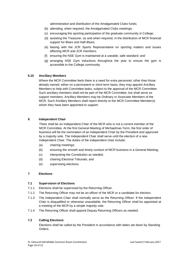administration and distribution of the Amalgamated Clubs funds;

- (b) attending, when required, the Amalgamated Clubs meetings;
- (c) encouraging the sporting participation of the graduate community in College;
- (d) assisting the Treasurer, as and when required, in the distribution of MCR financial support for Blues and Half-Blues;
- (e) liaising with the JCR Sports Representative on sporting matters and issues affecting MCR and JCR members;
- (f) ensuring the NSE Gym is maintained at a useable, safe standard; and
- (g) arranging NSE Gym inductions throughout the year to ensure the gym is accessible to the College community.

#### **5.10 Ancillary Members**

Where the MCR Committee feels there is a need for extra personnel, other than those already named, either on a permanent or short-term basis, they may appoint Ancillary Members to help with Committee tasks, subject to the approval of the MCR Committee. Such ancillary members shall not be part of the MCR Committee, but shall serve as support members. Ancillary Members may be Ordinary or Associate Members of the MCR. Such Ancillary Members shall report directly to the MCR Committee Member(s) whom they have been appointed to support.

#### **6 Independent Chair**

There shall be an Independent Chair of the MCR who is not a current member of the MCR Committee. At the first General Meeting of Michaelmas Term, the first order of business will be the nomination of an Independent Chair by the President and approved by a majority vote. The Independent Chair shall serve until the election of a new Independent Chair. The duties of the independent chair include:

- (a) chairing meetings;
- (b) ensuring the smooth and timely conduct of MCR business in a General Meeting;
- (c) interpreting the Constitution as needed;
- (d) chairing Electoral Tribunals; and
- (e) supervising elections.

#### **7 Elections**

#### **7.1 Supervision of Elections**

- 7.1.1 Elections shall be supervised by the Returning Officer.
- 7.1.2 The Returning Officer may not be an officer of the MCR or a candidate for election.
- 7.1.3 The Independent Chair shall normally serve as the Returning Officer. If the Independent Chair is disqualified or otherwise unavailable, the Returning Officer shall be appointed at a meeting of the MCR by a simple majority vote.
- 7.1.4 The Returning Officer shall appoint Deputy Returning Officers as needed.

#### **7.2 Calling Elections**

Elections shall be called by the President in accordance with dates set down by Standing Orders.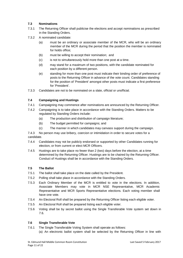# **7.3 Nominations**

- 7.3.1 The Returning Officer shall publicise the elections and accept nominations as prescribed in the Standing Orders.
- 7.3.2 A nominated candidate:
	- (a) must be an ordinary or associate member of the MCR, who will be an ordinary member of the MCR during the period that the position the member is nominated for holds office;
	- (b) must be willing to accept their nomination; and
	- (c) is not to simultaneously hold more than one post at a time.
	- (d) may stand for a maximum of two positions, with the candidate nominated for each position by a different person.
	- (e) standing for more than one post must indicate their binding order of preference of posts to the Returning Officer in advance of the vote count. Candidates standing for the position of 'President' amongst other posts must indicate a first preference for 'President'.
- 7.3.3 Candidates are not to be nominated on a slate, official or unofficial.

# **7.4 Campaigning and Hustings**

- 7.4.1 Campaigning may commence after nominations are announced by the Returning Officer.
- 7.4.2 Campaigning is to take place in accordance with the Standing Orders. Matters to be regulated by Standing Orders include:
	- (a) The production and distribution of campaign literature;
	- (b) The budget permitted for campaigns; and
	- (c) The manner in which candidates may canvass support during the campaign.

7.4.3 No person may use bribery, coercion or intimidation in order to secure votes for a candidate.

- 7.4.4 Candidates may not be publicly endorsed or supported by other Candidates running for election, or from current or elect MCR Officers.
- 7.4.5 Hustings are to take place no fewer than 2 (two) days before the election, at a time determined by the Returning Officer. Hustings are to be chaired by the Returning Officer. Conduct of Hustings shall be in accordance with the Standing Orders.

#### **7.5 The Ballot**

- 7.5.1 The ballot shall take place on the date called by the President.
- 7.5.2 Polling shall take place in accordance with the Standing Orders.
- 7.5.3 Each Ordinary Member of the MCR is entitled to vote in the elections. In addition, Associate Members may vote in MCR NSE Representative, MCR Academic Representative and MCR Sports Representative elections. Each voting member shall have one vote.
- 7.5.4 An Electoral Roll shall be prepared by the Returning Officer listing each eligible voter.
- 7.5.5 An Electoral Roll shall be prepared listing each eligible voter.
- 7.5.6 Voting shall be by secret ballot using the Single Transferable Vote system set down in 7.6.

#### **7.6 Single Transferable Vote**

- 7.6.1 The Single Transferable Voting System shall operate as follows:
	- (a) An electronic ballot system shall be selected by the Returning Officer in line with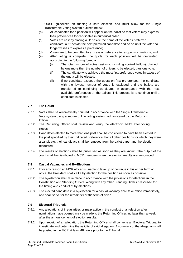OUSU guidelines on running a safe election, and must allow for the Single Transferable Voting system outlined below;

- (b) All candidates for a position will appear on the ballot so that voters may express their preferences for candidates in numerical order;
- (c) Votes are cast by placing a '1' beside the name of the voter's preferred candidate, a '2' beside the next preferred candidate and so on until the voter no longer wishes to express a preference;
- (d) Voters are to be permitted to express a preference to re-open nominations; and
- (e) After voting is complete, the quota for each position will be calculated according to the following formula:
	- (i) The total number of votes cast (not including spoiled ballots), divided by one more than the number of officers to be elected, plus one vote.
	- (ii) The candidate who achieves the most first preference votes in excess of the quota will be elected.
	- (iii) If no candidate exceeds the quota on first preferences, the candidate with the lowest number of votes is excluded and the ballots are transferred to continuing candidates in accordance with the next available preferences on the ballots. This process is to continue until a candidate is elected.

#### **7.7 The Count**

- 7.7.1 Votes shall be automatically counted in accordance with the Single Transferable Vote system using a secure online voting system, administered by the Returning Officer.
- 7.7.2 The Returning Officer shall review and verify the electronic ballot after voting closes.
- 7.7.3 Candidates elected to more than one post shall be considered to have been elected to the post specified by their indicated preference. For all other positions for which they were a candidate, their candidacy shall be removed from the ballot paper and the election recounted.
- 7.7.4 The results of elections shall be publicised as soon as they are known. The output of the count shall be distributed to MCR members when the election results are announced.

#### **7.8 Casual Vacancies and By-Elections**

- 7.8.1 If for any reason an MCR officer is unable to take up or continue in his or her term of office, the President shall call a by-election for the position as soon as possible.
- 7.8.2 The by-election shall take place in accordance with the provisions for elections in the Constitution and Standing Orders, along with any other Standing Orders prescribed for the timing and conduct of by-elections.
- 7.8.3 The elected candidate in a by-election for a casual vacancy shall take office immediately, and shall serve for the remainder of the term of office.

#### **7.9 Electoral Tribunals**

- 7.9.1 Any allegations of irregularities or malpractice in the conduct of an election after nominations have opened may be made to the Returning Officer, no later than a week after the announcement of election results.
- 7.9.2 Upon receipt of an allegation, the Returning Officer shall convene an Electoral Tribunal to investigate and determine the validity of said allegation. A summary of the allegation shall be posted in the MCR at least 48 hours prior to the Tribunal.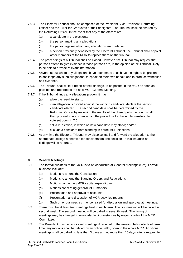- 7.9.3 The Electoral Tribunal shall be composed of the President, Vice-President, Returning Officer and the Tutor for Graduates or their designate. The Tribunal shall be chaired by the Returning Officer. In the event that any of the officers are:
	- (a) a candidate in the elections;
	- (b) the person making any allegations;
	- (c) the person against whom any allegations are made; or
	- (d) a person previously penalised by the Electoral Tribunal, the Tribunal shall appoint other members of the MCR to replace them on the tribunal.
- 7.9.4 The proceedings of a Tribunal shall be closed. However, the Tribunal may request that persons attend to give evidence if those persons are, in the opinion of the Tribunal, likely to be able to provide relevant information.
- 7.9.5 Anyone about whom any allegations have been made shall have the right to be present, to challenge any such allegations, to speak on their own behalf, and to produce witnesses and evidence.
- 7.9.6 The Tribunal shall write a report of their findings, to be posted in the MCR as soon as possible and reported to the next MCR General Meeting.
- 7.9.7 If the Tribunal finds any allegations proven, it may:
	- (a) allow the result to stand;
	- (b) if an allegation is proved against the winning candidate, declare the second candidate elected. The second candidate shall be determined by the Returning Officer by reviewing the results of the closed polls the count shall then proceed in accordance with the procedure for the single transferable vote set down in 7.6;
	- (c) call a re-election, in which no new candidate may stand; and/or
	- (d) exclude a candidate from standing in future MCR elections.
- 7.9.8 At any time the Electoral Tribunal may dissolve itself and forward the allegation to the appropriate college authorities for consideration and decision. In this instance no findings will be reported.

#### **8 General Meetings**

- 8.1 The formal business of the MCR is to be conducted at General Meetings (GM). Formal business includes:
	- (a) Motions to amend the Constitution;
	- (b) Motions to amend the Standing Orders and Regulations;
	- (c) Motions concerning MCR capital expenditures;
	- (d) Motions concerning general MCR matters;
	- (e) Presentation and approval of accounts;
	- (f) Presentation and discussion of MCR activities reports;
	- (g) Such other business as may be raised for discussion and approval at meetings.
- 8.2 There must be at least two meetings held in each term. The first meeting will be called in second week. The second meeting will be called in seventh week. The timing of meetings may be changed in unavoidable circumstances by majority vote of the MCR Committee.
- 8.3 The President may call additional meetings if required. If the meeting falls outside of term time, any motions shall be ratified by an online ballot, open to the whole MCR. Additional meetings shall be called no less than 3 days and no more than 10 days after a request for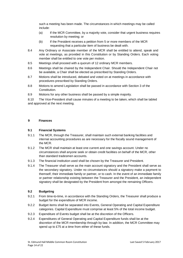such a meeting has been made. The circumstances in which meetings may be called include:

- (a) If the MCR Committee, by a majority vote, consider that urgent business requires resolution by meeting; or
- (b) If the President receives a petition from 5 or more members of the MCR requesting that a particular item of business be dealt with.
- 8.4 Any Ordinary or Associate member of the MCR shall be entitled to attend, speak and vote at meetings, as provided in this Constitution or by Standing Orders. Each voting member shall be entitled to one vote per motion.
- 8.5 Meetings shall proceed with a quorum of 12 ordinary MCR members.
- 8.6 Meetings shall be chaired by the Independent Chair. Should the Independent Chair not be available, a Chair shall be elected as prescribed by Standing Orders.
- 8.7 Motions shall be introduced, debated and voted on at meetings in accordance with procedures prescribed by Standing Orders.
- 8.8 Motions to amend Legislation shall be passed in accordance with Section 3 of the Constitution.
- 8.9 Motions for any other business shall be passed by a simple majority.

8.10 The Vice-President shall cause minutes of a meeting to be taken, which shall be tabled and approved at the next meeting.

#### **9 Finances**

# **9.1 Financial Systems**

- 9.1.1 The MCR, through the Treasurer, shall maintain such external banking facilities and internal accounting procedures as are necessary for the fiscally sound management of the MCR.
- 9.1.2 The MCR shall maintain at least one current and one savings account. Under no circumstances shall anyone seek or obtain credit facilities on behalf of the MCR, other than standard tradesmen accounts.
- 9.1.3 The financial institution used shall be chosen by the Treasurer and President.
- 9.1.4 The Treasurer shall serve as the main account signatory and the President shall serve as the secondary signatory. Under no circumstances should a signatory make a payment to themself, their immediate family or partner, or to cash. In the event of an immediate family or partner relationship existing between the Treasurer and the President, an independent signatory shall be designated by the President from amongst the remaining Officers.

# **9.2 Budgeting**

- 9.2.1 From time-to-time, in accordance with the Standing Orders, the Treasurer shall produce a budget for the expenditure of MCR income.
- 9.2.2 Budget items shall be separated into Events, General Operating and Capital Expenditure categories. Capital Expenditure must comprise at least 5% of the total income budget.
- 9.2.3 Expenditure of Events budget shall be at the discretion of the Officers.
- 9.2.4 Expenditures of General Operating and Capital Expenditure funds shall be at the discretion of the MCR membership through by-law. In addition, the MCR Committee may spend up to £75 at a time from either of these funds.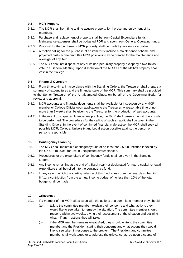# **9.3 MCR Property**

- 9.3.1 The MCR shall from time to time acquire property for the use and enjoyment of its members.
- 9.3.2 Purchase and replacement of property shall be from Capital Expenditure funds. Maintenance expenses shall be budgeted FOR and spent from General Operating funds.
- 9.3.3 Proposal for the purchase of MCR property shall be made by motion for a by-law.
- 9.3.4 A motion calling for the purchase of an item must include a maintenance scheme and projected costs. Non-committee MCR positions may be created for the maintenance and oversight of any item.
- 9.3.5 The MCR shall not dispose of any of its non-pecuniary property except by a two-thirds vote in a General Meeting. Upon dissolution of the MCR all of the MCR'S property shall vest in the College.

#### **9.4 Financial Oversight**

- 9.4.1 From time-to-time, in accordance with the Standing Orders, the Treasurer shall prepare a summary of expenditures and the financial state of the MCR. This summary shall be provided to the Senior Treasurer of the Amalgamated Clubs, on behalf of the Governing Body, for review and approval.
- 9.4.2 MCR accounts and financial documents shall be available for inspection by any MCR member or College Official upon application to the Treasurer. A reasonable time of no more than 2 weeks shall be given to the Treasurer for the production of said accounts.
- 9.4.2 In the event of suspected financial malpractice, the MCR shall cause an audit of accounts to be performed. The procedures for the calling of such an audit shall be given in the Standing Orders. In the event of confirmed financial malpractice, the MCR shall seek all possible MCR, College, University and Legal action possible against the person or persons responsible.

# **9.5 Contingency Planning**

- 9.5.1 The MCR shall maintain a contingency fund of no less than £5000, inflation indexed by the UK CPI to 2005, for use in unexpected circumstances.
- 9.5.2 Procedures for the expenditure of contingency funds shall be given in the Standing Orders.
- 9.5.3 Any income remaining at the end of a fiscal year not designated for future capital renewal expenditure shall be rolled into the contingency fund.
- 9.5.4 In any year in which the starting balance of this fund is less than the level described in 8.4.1, a contribution from the annual income budget of no less than 10% of the total budget shall be made.

#### **10 Grievances**

- 10.1 If a member of the MCR takes issue with the actions of a committee member they should:
	- (a) talk to the committee member, explain their concerns and what actions they would like to see taken to remedy the situation. The committee member should respond within two weeks, giving their assessment of the situation and outlining what  $-$  if any  $-$  actions they will take;
	- (b) if the MCR member remains unsatisfied, they should write to the committee member and the President stating their concerns and what actions they would like to see taken in response to the problem. The President and committee member shall work together to address the grievance, agree upon a course of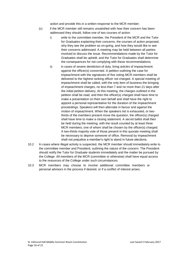action and provide this in a written response to the MCR member;

- (c) if the MCR member still remains unsatisfied with how their concern has been addressed they should, follow one of two courses of action:
	- i) write to the committee member, the President of the MCR and the Tutor for Graduates explaining their concerns, the courses of action proposed, why they see the problem as on-going, and how they would like to see their concerns addressed. A meeting may be held between all parties involved to discuss the issue. Recommendations made by the Tutor for Graduates shall be upheld, and the Tutor for Graduates shall determine the consequences for not complying with these recommendations;
	- ii) in cases of severe dereliction of duty, bring articles of impeachment against the officer(s) concerned. A petition outlining the case for impeachment with the signatures of five voting MCR members shall be delivered to the highest ranking officer not charged. A special meeting of impeachment shall be called, with the only item of business the bringing of impeachment charges, no less than 7 and no more than 21 days after the initial petition delivery. At this meeting, the charges outlined in the petition shall be read, and then the officer(s) charged shall have time to make a presentation on their own behalf and shall have the right to appoint a personal representative for the duration of the impeachment proceedings. Speakers will then alternate in favour and against the motion of impeachment. When the speakers list is exhausted, or twothirds of the members present move the question, the officer(s) charged shall have time to make a closing statement. A secret ballot shall then be held during the meeting, with the result counted by at least three MCR members, one of whom shall be chosen by the officer(s) charged. A two-thirds majority vote of those present in this quorate meeting shall be necessary to deprive someone of office. Removal by impeachment shall not prejudice a member's right to stand in future elections.
- 10.2 In cases where illegal activity is suspected, the MCR member should immediately write to the committee member and President, outlining the nature of the concern. The President should notify the Tutor for Graduate students immediately and the matter be pursued by the College. All members of the MCR (committee or otherwise) shall have equal access to the resources of the College under such circumstances.
- 10.3 MCR members may choose to involve additional committee members or personal advisors in the process if desired, or if a conflict of interest arises.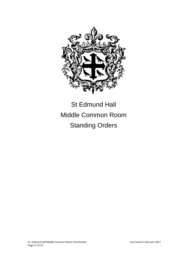

# St Edmund Hall Middle Common Room Standing Orders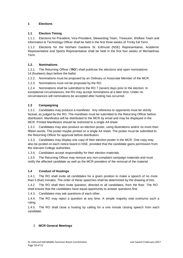# **1 Elections**

#### **1.1 Election Timing**

1.1.1 Elections for President, Vice-President, Stewarding Team, Treasurer, Welfare Team and Information & Technology Officer shall be held in the first three weeks of Trinity full Term.

1.1.2 Elections for the Norham Gardens St. Edmund (NSE) Representative, Academic Representative and Sports Representative shall be held in the first four weeks of Michaelmas Term.

#### **1.2. Nominations**

1.2.1. The Returning Officer ('**RO**') shall publicise the elections and open nominations 14 (fourteen) days before the ballot.

1.2.2. Nominations must be proposed by an Ordinary or Associate Member of the MCR.

1.2.3. Nominations must not be proposed by the RO.

1.2.4 Nominations shall be submitted to the RO 7 (seven) days prior to the election. In exceptional circumstances, the RO may accept nominations at a later time. Under no circumstances will nominations be accepted after husting has occurred.

# **1.3 Campaigning**

1.3.1. Candidates may produce a manifesto. Any reference to opponents must be strictly factual, as judged by the RO. The manifesto must be submitted to the Returning Officer before distribution. Manifestos will be distributed to the MCR by email and may be displayed in the MCR. Printed Manifestos should be restricted to a single A4 sheet.

1.3.2. Candidates may also produce an election poster, using illustrations and/or no more than fifteen words. The poster maybe printed on a single A4 sheet. The poster must be submitted to the Returning Officer for approval before distribution.

1.3.3. Candidates may display one copy of their election poster in the MCR. One copy may also be posted on each notice board in NSE, provided that the candidate gains permission from the relevant College authorities.

1.3.4. Candidates accept responsibility for their election materials.

1.3.5 The Returning Officer may remove any non-compliant campaign materials and must notify the affected candidate as well as the MCR president of the removal of the material.

# **1.4 Conduct of Hustings**

1.4.1. The RO shall invite all candidates for a given position to make a speech of no more than 5 (five) minutes. The order of these speeches shall be determined by the drawing of lots.

1.4.2 The RO shall then invite question, directed to all candidates, from the floor. The RO shall ensure that the candidates have equal opportunity to answer questions first.

1.4.3. Candidates may ask questions of each other.

1.4.4. The RO may reject a question at any time. A simple majority vote overturns such a ruling.

1.4.5. The RO shall close a husting by calling for a one minute closing speech from each candidate.

#### 2 **MCR General Meetings**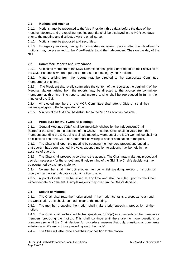# **2.1 Motions and Agenda**

2.1.1. Motions must be presented to the Vice-President three days before the date of the meeting. Motions, and the resulting meeting agenda, shall be displayed in the MCR two days prior to the meeting and distributed via the email server.

2.1.2. Motions must be proposed and seconded.

2.1.3. Emergency motions, owing to circumstances arising purely after the deadline for motions, may be presented to the Vice-President and the Independent Chair on the day of the GM.

## **2.2 Committee Reports and Attendance**

2.2.1. All elected members of the MCR Committee shall give a brief report on their activities at the GM, or submit a written report to be read at the meeting by the President

2.2.2. Matters arising from the reports may be directed to the appropriate Committee member(s) at this time.

2.2.3. The President shall orally summarise the content of the reports at the beginning of the Meeting. Matters arising from the reports may be directed to the appropriate committee member(s) at this time. The reports and matters arising shall be reproduced in full in the minutes of the GM.

2.2.4. All elected members of the MCR Committee shall attend GMs or send their written apologies to the Independent Chair.

2.2.5. Minutes of the GM shall be distributed to the MCR as soon as possible.

#### **2.3 Procedure for MCR General Meetings**

2.3.1 General Meetings ('**GM**') shall be impartially chaired by the Independent Chair (hereafter the Chair). In the absence of the Chair, an ad hoc Chair shall be voted from the members attending the GM, using a simple majority. Members of the MCR Committee shall not be eligible to chair the GM. The Chair must be willing to accept nomination to the post.

2.3.2. The Chair shall open the meeting by counting the members present and ensuring that quorum has been reached. No vote, except a motion to adjourn, may be held in the absence of quorum.

2.3.3. The Chair shall proceed according to the agenda. The Chair may make any procedural decision necessary for the smooth and timely running of the GM. The Chair's decision(s) may be overturned by a simple majority.

2.3.4. No member shall interrupt another member whilst speaking, except on a point of order, with a motion to debate or with a motion to vote.

2.3.5. A point of order may be raised at any time and shall be ruled upon by the Chair without debate or comment. A simple majority may overturn the Chair's decision.

#### <span id="page-18-0"></span>**2.4 Debate of Motions**

2.4.1. The Chair shall read the motion aloud. If the motion contains a proposal to amend the Constitution, this should be made clear to the meeting.

2.4.2. The member proposing the motion shall make a brief speech in proposition of the motion.

2.4.3. The Chair shall invite short factual questions ('SFQs') or comments to the member or members proposing the motion. This shall continue until there are no more questions or comments (or until the Chair decides for procedural reasons that only questions or comments substantially different to those preceding are to be made).

2.4.4. The Chair will also invite speeches in opposition to the motion.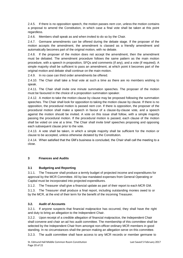2.4.5. If there is no opposition speech, the motion passes *nem con*, unless the motion contains a proposal to amend the Constitution, in which case a final vote shall be taken at this point regardless.

2.4.6. Members shall speak as and when invited to do so by the Chair.

2.4.7. Germane amendments can be offered during the debate stage. If the proposer of the motion accepts the amendment, the amendment is classed as a friendly amendment and automatically becomes part of the original motion, with no debate.

2.4.8. If the proposer of the motion does not accept the amendment, then the amendment must be debated. The amendment procedure follows the same pattern as the main motion procedure, with a speech in proposition, SFQs and comments (if any), and a vote (if required). A simple majority shall be sufficient to pass an amendment, at which point it becomes part of the original motion and debate shall continue on the main motion.

2.4.9. In no case can third order amendments be offered.

2.4.10. The Chair shall take a final vote at such a time as there are no members wishing to speak.

2.4.11. The Chair shall invite one minute summation speeches. The proposer of the motion must be favoured in the choice of a proposition summation speaker.

2.4.12. A motion to take the motion clause by clause may be proposed following the summation speeches. The Chair shall look for opposition to taking the motion clause by clause. If there is no opposition, the procedural motion is passed *nem con*. If there is opposition, the proposer of the procedural motion shall make a speech in favour of a clause-by-clause vote, and a speech against the motion should be invited. A vote on this issue shall follow, with a simple majority passing the procedural motion. If the procedural motion is passed, each clause of the motion shall be voted on one at a time. The Chair shall invite brief speeches proposing and opposing each subsequent clause prior to the vote.

2.4.13. A vote shall be taken, in which a simple majority shall be sufficient for the motion or clause to be accepted, unless otherwise dictated by the Constitution.

2.4.14. When satisfied that the GM's business is concluded, the Chair shall call the meeting to a close.

# **3 Finances and Audits**

#### **3.1 Budgeting and Reporting**

3.1.1. The Treasurer shall produce a termly budget of projected income and expenditures for approval by the MCR Committee. All by-law mandated expenses from General Operating or Capital must be incorporated into projected expenditures.

3.1.2. The Treasurer shall give a financial update as part of their report to each MCR GM.

3.1.3. The Treasurer shall produce a final report, including outstanding monies owed to or by the MCR, at the end of their term for the benefit of the incoming Treasurer.

# **3.2. Audit of Accounts**

3.2.1. If anyone suspects that financial malpractice has occurred, they shall have the right and duty to bring an allegation to the Independent Chair.

3.2.2. Upon receipt of a credible allegation of financial malpractice, the Independent Chair shall convene and chair an ad hoc audit committee. The membership of this committee shall be selected by the Independent Chair from amongst non-officer ordinary MCR members in good standing. In no circumstances shall the person making an allegation serve on this committee.

3.2.3. The audit committee shall have access to any MCR records or member germane to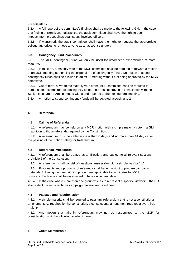the allegation.

3.2.4. A full report of the committee's findings shall be made to the following GM. In the case of a finding of significant malpractice, the audit committee shall have the right to begin impeachment proceedings against any involved officers.

3.2.5. If warranted, the audit committee shall have the right to request the appropriate college authorities to remove anyone as an account signatory.

# **3.3. Contigency Fund Procedures**

3.3.1 The MCR contingency fund will only be used for unforeseen expenditures of more than  $f250$ .

3.3.2. In full term, a majority vote of the MCR committee shall be required to forward a motion to an MCR meeting authorising the expenditure of contingency funds. No motion to spend contingency funds shall be allowed in an MCR meeting without first being approved by the MCR committee.

3.3.3 Out of term, a two-thirds majority vote of the MCR committee shall be required to authorise the expenditure of contingency funds. This shall approved in consultation with the Senior Treasurer of Amalgamated Clubs and reported to the next general meeting.

3.3.4. A motion to spend contingency funds will be debated according to [2.4.](#page-18-0)

# **4 Referenda**

#### **4.1 Calling of Referenda**

4.1.1. A referendum may be held on any MCR motion with a simple majority vote in a GM, in addition to those referenda required by the Constitution.

4.1.2. A referendum must be called no less than 6 days and no more than 14 days after the passing of the motion calling for Referendum.

# **4.2 Referenda Procedures**

4.2.1 A referendum shall be treated as an Election, and subject to all relevant sections of Article 6 of the Constitution.

4.2.2. A referendum shall consist of questions answerable with a simple 'yes' or 'no'.

4.2.3. Proponents and opponents of referenda shall have the right to prepare campaign materials, following the campaigning procedures applicable to candidates for MCR positions. Each side shall be determined to be a single candidate.

4.2.4. In the case where more than one group wishes to represent a specific viewpoint, the RO shall select the representative campaign material and scrutineer.

# **4.3 Passage and Resubmission**

4.3.1. A simple majority shall be required to pass any referendum that is not a constitutional amendment. As required by the constitution, a constitutional amendment requires a two-thirds majority.

4.3.2. Any motion that fails in referendum may not be resubmitted to the MCR for consideration until the following academic year.

#### **5 Guest Membership**